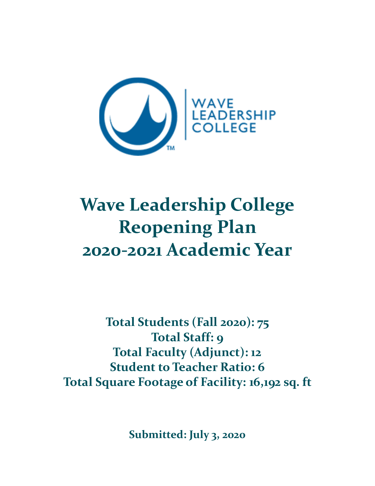

# **Wave Leadership College Reopening Plan 2020-2021 Academic Year**

**Total Students (Fall 2020): 75 Total Staff: 9 Total Faculty (Adjunct): 12 Student to Teacher Ratio: 6 Total Square Footage of Facility: 16,192 sq. ft**

**Submitted: July 3, 2020**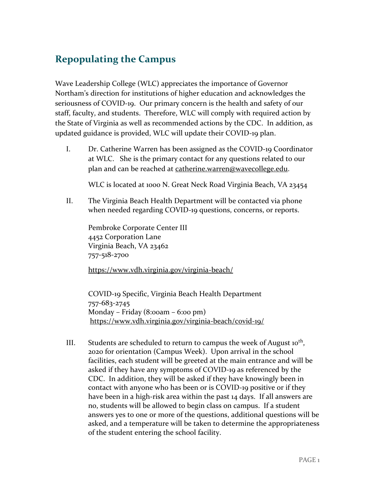### **Repopulating the Campus**

Wave Leadership College (WLC) appreciates the importance of Governor Northam's direction for institutions of higher education and acknowledges the seriousness of COVID-19. Our primary concern is the health and safety of our staff, faculty, and students. Therefore, WLC will comply with required action by the State of Virginia as well as recommended actions by the CDC. In addition, as updated guidance is provided, WLC will update their COVID-19 plan.

I. Dr. Catherine Warren has been assigned as the COVID-19 Coordinator at WLC. She is the primary contact for any questions related to our plan and can be reached at [catherine.warren@wavecollege.edu.](mailto:catherine.warren@wavecollege.edu)

WLC is located at 1000 N. Great Neck Road Virginia Beach, VA 23454

II. The Virginia Beach Health Department will be contacted via phone when needed regarding COVID-19 questions, concerns, or reports.

Pembroke Corporate Center III 4452 Corporation Lane Virginia Beach, VA 23462 757-518-2700

<https://www.vdh.virginia.gov/virginia-beach/>

COVID-19 Specific, Virginia Beach Health Department 757-683-2745 Monday – Friday (8:00am – 6:00 pm) <https://www.vdh.virginia.gov/virginia-beach/covid-19/>

III. Students are scheduled to return to campus the week of August  $10^{th}$ , 2020 for orientation (Campus Week). Upon arrival in the school facilities, each student will be greeted at the main entrance and will be asked if they have any symptoms of COVID-19 as referenced by the CDC. In addition, they will be asked if they have knowingly been in contact with anyone who has been or is COVID-19 positive or if they have been in a high-risk area within the past 14 days. If all answers are no, students will be allowed to begin class on campus. If a student answers yes to one or more of the questions, additional questions will be asked, and a temperature will be taken to determine the appropriateness of the student entering the school facility.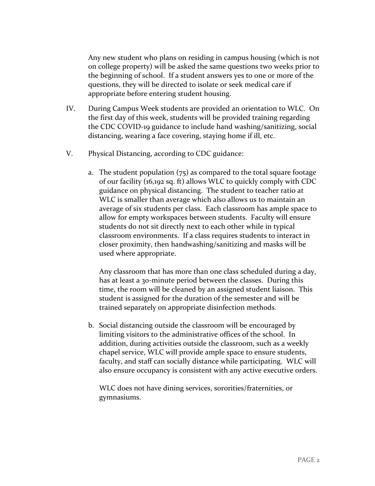Any new student who plans on residing in campus housing (which is not on college property) will be asked the same questions two weeks prior to the beginning of school. If a student answers yes to one or more of the questions, they will be directed to isolate or seek medical care if appropriate before entering student housing.

- IV. During Campus Week students are provided an orientation to WLC. On the first day of this week, students will be provided training regarding the CDC COVID-19 guidance to include hand washing/sanitizing, social distancing, wearing a face covering, staying home if ill, etc.
- V. Physical Distancing, according to CDC guidance:
	- a. The student population  $(75)$  as compared to the total square footage of our facility (16,192 sq. ft) allows WLC to quickly comply with CDC guidance on physical distancing. The student to teacher ratio at WLC is smaller than average which also allows us to maintain an average of six students per class. Each classroom has ample space to allow for empty workspaces between students. Faculty will ensure students do not sit directly next to each other while in typical classroom environments. If a class requires students to interact in closer proximity, then handwashing/sanitizing and masks will be used where appropriate.

Any classroom that has more than one class scheduled during a day, has at least a 30-minute period between the classes. During this time, the room will be cleaned by an assigned student liaison. This student is assigned for the duration of the semester and will be trained separately on appropriate disinfection methods.

b. Social distancing outside the classroom will be encouraged by limiting visitors to the administrative offices of the school. In addition, during activities outside the classroom, such as a weekly chapel service, WLC will provide ample space to ensure students, faculty, and staff can socially distance while participating. WLC will also ensure occupancy is consistent with any active executive orders.

WLC does not have dining services, sororities/fraternities, or gymnasiums.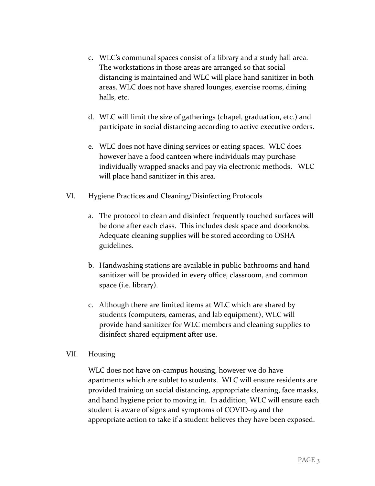- c. WLC's communal spaces consist of a library and a study hall area. The workstations in those areas are arranged so that social distancing is maintained and WLC will place hand sanitizer in both areas. WLC does not have shared lounges, exercise rooms, dining halls, etc.
- d. WLC will limit the size of gatherings (chapel, graduation, etc.) and participate in social distancing according to active executive orders.
- e. WLC does not have dining services or eating spaces. WLC does however have a food canteen where individuals may purchase individually wrapped snacks and pay via electronic methods. WLC will place hand sanitizer in this area.
- VI. Hygiene Practices and Cleaning/Disinfecting Protocols
	- a. The protocol to clean and disinfect frequently touched surfaces will be done after each class. This includes desk space and doorknobs. Adequate cleaning supplies will be stored according to OSHA guidelines.
	- b. Handwashing stations are available in public bathrooms and hand sanitizer will be provided in every office, classroom, and common space (i.e. library).
	- c. Although there are limited items at WLC which are shared by students (computers, cameras, and lab equipment), WLC will provide hand sanitizer for WLC members and cleaning supplies to disinfect shared equipment after use.

#### VII. Housing

WLC does not have on-campus housing, however we do have apartments which are sublet to students. WLC will ensure residents are provided training on social distancing, appropriate cleaning, face masks, and hand hygiene prior to moving in. In addition, WLC will ensure each student is aware of signs and symptoms of COVID-19 and the appropriate action to take if a student believes they have been exposed.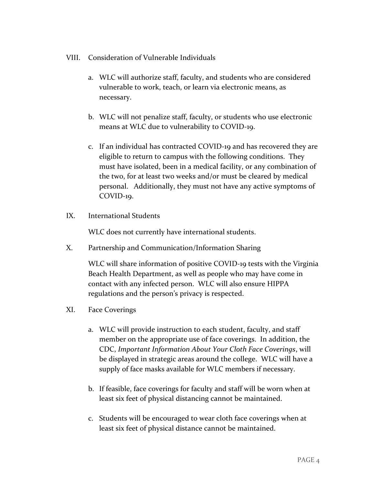- VIII. Consideration of Vulnerable Individuals
	- a. WLC will authorize staff, faculty, and students who are considered vulnerable to work, teach, or learn via electronic means, as necessary.
	- b. WLC will not penalize staff, faculty, or students who use electronic means at WLC due to vulnerability to COVID-19.
	- c. If an individual has contracted COVID-19 and has recovered they are eligible to return to campus with the following conditions. They must have isolated, been in a medical facility, or any combination of the two, for at least two weeks and/or must be cleared by medical personal. Additionally, they must not have any active symptoms of COVID-19.
- IX. International Students

WLC does not currently have international students.

X. Partnership and Communication/Information Sharing

WLC will share information of positive COVID-19 tests with the Virginia Beach Health Department, as well as people who may have come in contact with any infected person. WLC will also ensure HIPPA regulations and the person's privacy is respected.

- XI. Face Coverings
	- a. WLC will provide instruction to each student, faculty, and staff member on the appropriate use of face coverings. In addition, the CDC, *Important Information About Your Cloth Face Coverings*, will be displayed in strategic areas around the college. WLC will have a supply of face masks available for WLC members if necessary.
	- b. If feasible, face coverings for faculty and staff will be worn when at least six feet of physical distancing cannot be maintained.
	- c. Students will be encouraged to wear cloth face coverings when at least six feet of physical distance cannot be maintained.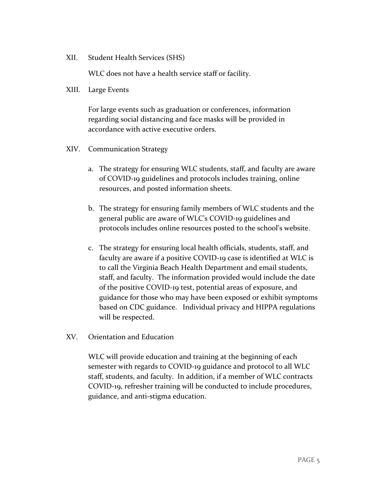XII. Student Health Services (SHS)

WLC does not have a health service staff or facility.

XIII. Large Events

For large events such as graduation or conferences, information regarding social distancing and face masks will be provided in accordance with active executive orders.

- XIV. Communication Strategy
	- a. The strategy for ensuring WLC students, staff, and faculty are aware of COVID-19 guidelines and protocols includes training, online resources, and posted information sheets.
	- b. The strategy for ensuring family members of WLC students and the general public are aware of WLC's COVID-19 guidelines and protocols includes online resources posted to the school's website.
	- c. The strategy for ensuring local health officials, students, staff, and faculty are aware if a positive COVID-19 case is identified at WLC is to call the Virginia Beach Health Department and email students, staff, and faculty. The information provided would include the date of the positive COVID-19 test, potential areas of exposure, and guidance for those who may have been exposed or exhibit symptoms based on CDC guidance. Individual privacy and HIPPA regulations will be respected.
- XV. Orientation and Education

WLC will provide education and training at the beginning of each semester with regards to COVID-19 guidance and protocol to all WLC staff, students, and faculty. In addition, if a member of WLC contracts COVID-19, refresher training will be conducted to include procedures, guidance, and anti-stigma education.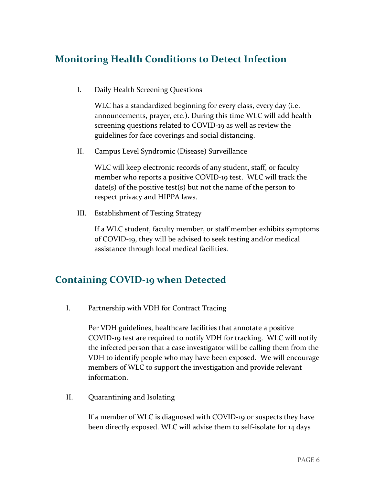#### **Monitoring Health Conditions to Detect Infection**

I. Daily Health Screening Questions

WLC has a standardized beginning for every class, every day (i.e. announcements, prayer, etc.). During this time WLC will add health screening questions related to COVID-19 as well as review the guidelines for face coverings and social distancing.

II. Campus Level Syndromic (Disease) Surveillance

WLC will keep electronic records of any student, staff, or faculty member who reports a positive COVID-19 test. WLC will track the  $date(s)$  of the positive test(s) but not the name of the person to respect privacy and HIPPA laws.

III. Establishment of Testing Strategy

If a WLC student, faculty member, or staff member exhibits symptoms of COVID-19, they will be advised to seek testing and/or medical assistance through local medical facilities.

#### **Containing COVID-19 when Detected**

I. Partnership with VDH for Contract Tracing

Per VDH guidelines, healthcare facilities that annotate a positive COVID-19 test are required to notify VDH for tracking. WLC will notify the infected person that a case investigator will be calling them from the VDH to identify people who may have been exposed. We will encourage members of WLC to support the investigation and provide relevant information.

II. Quarantining and Isolating

If a member of WLC is diagnosed with COVID-19 or suspects they have been directly exposed. WLC will advise them to self-isolate for 14 days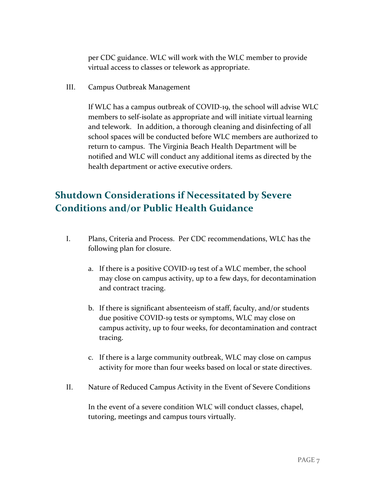per CDC guidance. WLC will work with the WLC member to provide virtual access to classes or telework as appropriate.

III. Campus Outbreak Management

If WLC has a campus outbreak of COVID-19, the school will advise WLC members to self-isolate as appropriate and will initiate virtual learning and telework. In addition, a thorough cleaning and disinfecting of all school spaces will be conducted before WLC members are authorized to return to campus. The Virginia Beach Health Department will be notified and WLC will conduct any additional items as directed by the health department or active executive orders.

## **Shutdown Considerations if Necessitated by Severe Conditions and/or Public Health Guidance**

- I. Plans, Criteria and Process. Per CDC recommendations, WLC has the following plan for closure.
	- a. If there is a positive COVID-19 test of a WLC member, the school may close on campus activity, up to a few days, for decontamination and contract tracing.
	- b. If there is significant absenteeism of staff, faculty, and/or students due positive COVID-19 tests or symptoms, WLC may close on campus activity, up to four weeks, for decontamination and contract tracing.
	- c. If there is a large community outbreak, WLC may close on campus activity for more than four weeks based on local or state directives.
- II. Nature of Reduced Campus Activity in the Event of Severe Conditions

In the event of a severe condition WLC will conduct classes, chapel, tutoring, meetings and campus tours virtually.